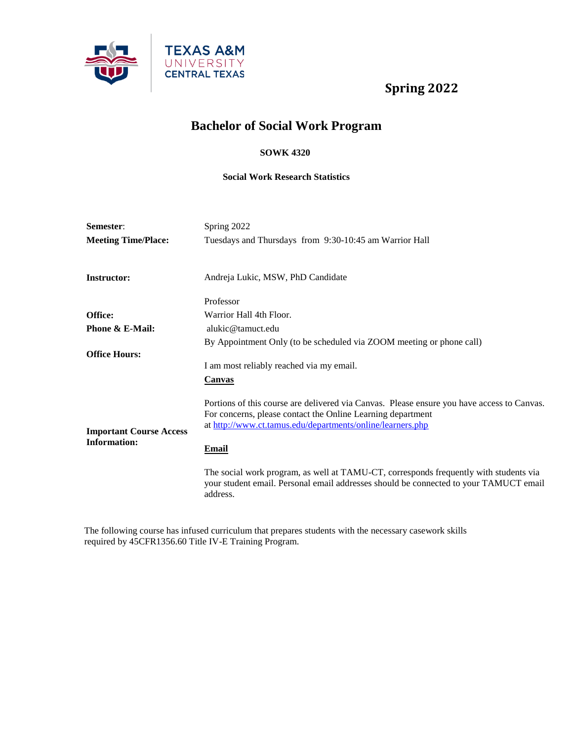

# **Bachelor of Social Work Program**

#### **SOWK 4320**

#### **Social Work Research Statistics**

| Semester:                                             | Spring 2022                                                                                                                                                                                                             |
|-------------------------------------------------------|-------------------------------------------------------------------------------------------------------------------------------------------------------------------------------------------------------------------------|
| <b>Meeting Time/Place:</b>                            | Tuesdays and Thursdays from 9:30-10:45 am Warrior Hall                                                                                                                                                                  |
| <b>Instructor:</b>                                    | Andreja Lukic, MSW, PhD Candidate                                                                                                                                                                                       |
|                                                       | Professor                                                                                                                                                                                                               |
| Office:                                               | Warrior Hall 4th Floor.                                                                                                                                                                                                 |
| Phone & E-Mail:                                       | alukic@tamuct.edu                                                                                                                                                                                                       |
|                                                       | By Appointment Only (to be scheduled via ZOOM meeting or phone call)                                                                                                                                                    |
| <b>Office Hours:</b>                                  |                                                                                                                                                                                                                         |
|                                                       | I am most reliably reached via my email.                                                                                                                                                                                |
|                                                       | Canvas                                                                                                                                                                                                                  |
| <b>Important Course Access</b><br><b>Information:</b> | Portions of this course are delivered via Canvas. Please ensure you have access to Canvas.<br>For concerns, please contact the Online Learning department<br>at http://www.ct.tamus.edu/departments/online/learners.php |
|                                                       | <u>Email</u>                                                                                                                                                                                                            |
|                                                       | The social work program, as well at TAMU-CT, corresponds frequently with students via<br>your student email. Personal email addresses should be connected to your TAMUCT email<br>address.                              |

The following course has infused curriculum that prepares students with the necessary casework skills required by 45CFR1356.60 Title IV-E Training Program.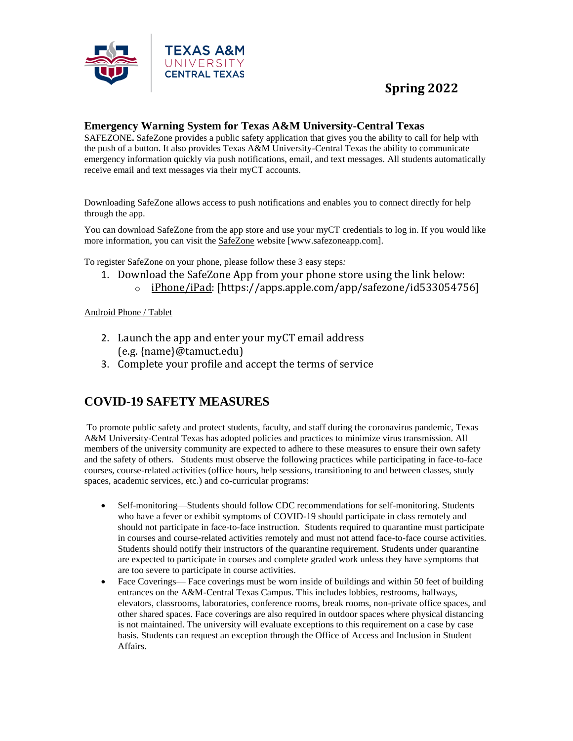

### **Emergency Warning System for Texas A&M University-Central Texas**

SAFEZONE**.** SafeZone provides a public safety application that gives you the ability to call for help with the push of a button. It also provides Texas A&M University-Central Texas the ability to communicate emergency information quickly via push notifications, email, and text messages. All students automatically receive email and text messages via their myCT accounts.

Downloading SafeZone allows access to push notifications and enables you to connect directly for help through the app.

You can download SafeZone from the app store and use your myCT credentials to log in. If you would like more information, you can visit the **[SafeZone](http://www.safezoneapp.com/)** website [www.safezoneapp.com].

To register SafeZone on your phone, please follow these 3 easy steps*:*

- 1. Download the SafeZone App from your phone store using the link below:
	- o [iPhone/iPad:](https://apps.apple.com/app/safezone/id533054756) [https://apps.apple.com/app/safezone/id533054756]

#### [Android Phone / Tablet](https://play.google.com/store/apps/details?id=com.criticalarc.safezoneapp)

- 2. Launch the app and enter your myCT email address (e.g. {name}@tamuct.edu)
- 3. Complete your profile and accept the terms of service

### **COVID-19 SAFETY MEASURES**

To promote public safety and protect students, faculty, and staff during the coronavirus pandemic, Texas A&M University-Central Texas has adopted policies and practices to minimize virus transmission. All members of the university community are expected to adhere to these measures to ensure their own safety and the safety of others. Students must observe the following practices while participating in face-to-face courses, course-related activities (office hours, help sessions, transitioning to and between classes, study spaces, academic services, etc.) and co-curricular programs:

- Self-monitoring—Students should follow CDC recommendations for self-monitoring. Students who have a fever or exhibit symptoms of COVID-19 should participate in class remotely and should not participate in face-to-face instruction. Students required to quarantine must participate in courses and course-related activities remotely and must not attend face-to-face course activities. Students should notify their instructors of the quarantine requirement. Students under quarantine are expected to participate in courses and complete graded work unless they have symptoms that are too severe to participate in course activities.
- Face Coverings— Face coverings must be worn inside of buildings and within 50 feet of building entrances on the A&M-Central Texas Campus. This includes lobbies, restrooms, hallways, elevators, classrooms, laboratories, conference rooms, break rooms, non-private office spaces, and other shared spaces. Face coverings are also required in outdoor spaces where physical distancing is not maintained. The university will evaluate exceptions to this requirement on a case by case basis. Students can request an exception through the Office of Access and Inclusion in Student Affairs.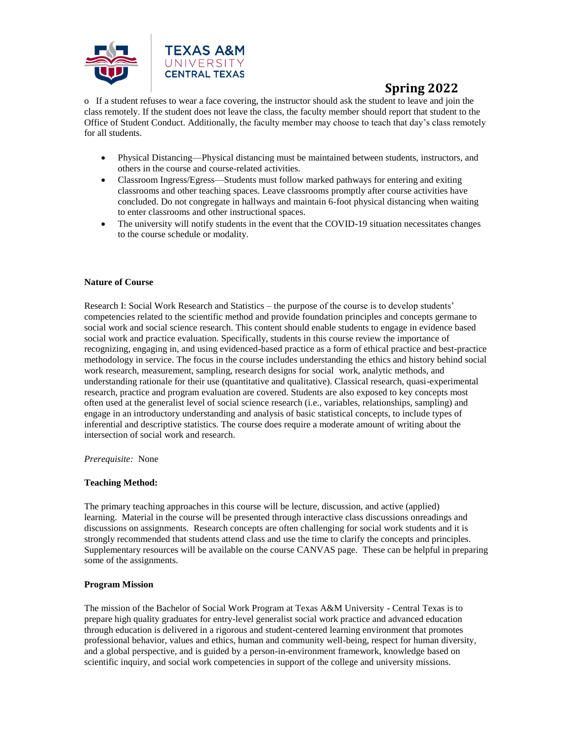

o If a student refuses to wear a face covering, the instructor should ask the student to leave and join the class remotely. If the student does not leave the class, the faculty member should report that student to the Office of Student Conduct. Additionally, the faculty member may choose to teach that day's class remotely for all students.

- Physical Distancing—Physical distancing must be maintained between students, instructors, and others in the course and course-related activities.
- Classroom Ingress/Egress—Students must follow marked pathways for entering and exiting classrooms and other teaching spaces. Leave classrooms promptly after course activities have concluded. Do not congregate in hallways and maintain 6-foot physical distancing when waiting to enter classrooms and other instructional spaces.
- The university will notify students in the event that the COVID-19 situation necessitates changes to the course schedule or modality.

#### **Nature of Course**

Research I: Social Work Research and Statistics – the purpose of the course is to develop students' competencies related to the scientific method and provide foundation principles and concepts germane to social work and social science research. This content should enable students to engage in evidence based social work and practice evaluation. Specifically, students in this course review the importance of recognizing, engaging in, and using evidenced-based practice as a form of ethical practice and best-practice methodology in service. The focus in the course includes understanding the ethics and history behind social work research, measurement, sampling, research designs for social work, analytic methods, and understanding rationale for their use (quantitative and qualitative). Classical research, quasi-experimental research, practice and program evaluation are covered. Students are also exposed to key concepts most often used at the generalist level of social science research (i.e., variables, relationships, sampling) and engage in an introductory understanding and analysis of basic statistical concepts, to include types of inferential and descriptive statistics. The course does require a moderate amount of writing about the intersection of social work and research.

#### *Prerequisite:* None

#### **Teaching Method:**

The primary teaching approaches in this course will be lecture, discussion, and active (applied) learning. Material in the course will be presented through interactive class discussions onreadings and discussions on assignments. Research concepts are often challenging for social work students and it is strongly recommended that students attend class and use the time to clarify the concepts and principles. Supplementary resources will be available on the course CANVAS page. These can be helpful in preparing some of the assignments.

#### **Program Mission**

The mission of the Bachelor of Social Work Program at Texas A&M University - Central Texas is to prepare high quality graduates for entry-level generalist social work practice and advanced education through education is delivered in a rigorous and student-centered learning environment that promotes professional behavior, values and ethics, human and community well-being, respect for human diversity, and a global perspective, and is guided by a person-in-environment framework, knowledge based on scientific inquiry, and social work competencies in support of the college and university missions.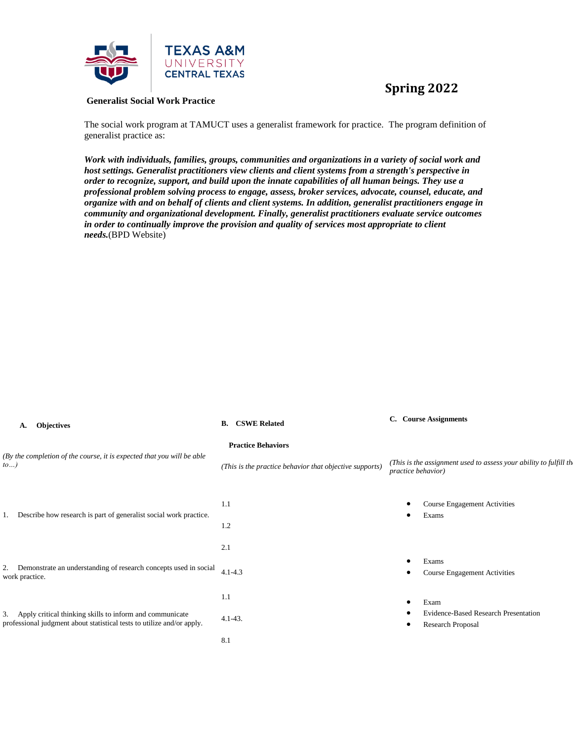

#### **Generalist Social Work Practice**

The social work program at TAMUCT uses a generalist framework for practice. The program definition of generalist practice as:

*Work with individuals, families, groups, communities and organizations in a variety of social work and host settings. Generalist practitioners view clients and client systems from a strength's perspective in order to recognize, support, and build upon the innate capabilities of all human beings. They use a professional problem solving process to engage, assess, broker services, advocate, counsel, educate, and organize with and on behalf of clients and client systems. In addition, generalist practitioners engage in community and organizational development. Finally, generalist practitioners evaluate service outcomes in order to continually improve the provision and quality of services most appropriate to client needs.*(BPD Website)

| А. | <b>Objectives</b> |
|----|-------------------|
|    |                   |

| <b>Objectives</b>                                                                                                                     | <b>CSWE Related</b>                                     | <b>Course Assignments</b>                                          |
|---------------------------------------------------------------------------------------------------------------------------------------|---------------------------------------------------------|--------------------------------------------------------------------|
| А.                                                                                                                                    | В.                                                      | C.                                                                 |
| (By the completion of the course, it is expected that you will be able                                                                | <b>Practice Behaviors</b>                               | (This is the assignment used to assess your ability to fulfill the |
| to)                                                                                                                                   | (This is the practice behavior that objective supports) | practice behavior)                                                 |
| Describe how research is part of generalist social work practice.<br>1.                                                               | 1.1<br>1.2                                              | <b>Course Engagement Activities</b><br>Exams<br>٠                  |
| 2. Demonstrate an understanding of research concepts used in social                                                                   | 2.1                                                     | Exams                                                              |
| work practice.                                                                                                                        | $4.1 - 4.3$                                             | <b>Course Engagement Activities</b>                                |
| 3. Apply critical thinking skills to inform and communicate<br>professional judgment about statistical tests to utilize and/or apply. | 1.1<br>$4.1 - 43.$                                      | Exam<br>Evidence-Based Research Presentation<br>Research Proposal  |
|                                                                                                                                       | 8.1                                                     |                                                                    |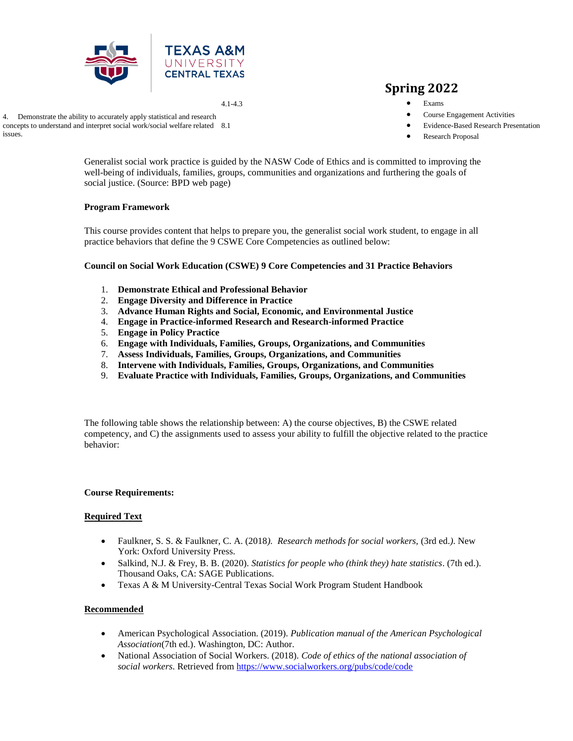

4.1-4.3

## **Spring 2022**

- Exams
- Course Engagement Activities
- Evidence-Based Research Presentation
- Research Proposal

Generalist social work practice is guided by the NASW Code of Ethics and is committed to improving the well-being of individuals, families, groups, communities and organizations and furthering the goals of social justice. (Source: BPD web page)

#### **Program Framework**

This course provides content that helps to prepare you, the generalist social work student, to engage in all practice behaviors that define the 9 CSWE Core Competencies as outlined below:

**Council on Social Work Education (CSWE) 9 Core Competencies and 31 Practice Behaviors**

- 1. **Demonstrate Ethical and Professional Behavior**
- 2. **Engage Diversity and Difference in Practice**
- 3. **Advance Human Rights and Social, Economic, and Environmental Justice**
- 4. **Engage in Practice-informed Research and Research-informed Practice**
- 5. **Engage in Policy Practice**
- 6. **Engage with Individuals, Families, Groups, Organizations, and Communities**
- 7. **Assess Individuals, Families, Groups, Organizations, and Communities**
- 8. **Intervene with Individuals, Families, Groups, Organizations, and Communities**
- 9. **Evaluate Practice with Individuals, Families, Groups, Organizations, and Communities**

The following table shows the relationship between: A) the course objectives, B) the CSWE related competency, and C) the assignments used to assess your ability to fulfill the objective related to the practice behavior:

#### **Course Requirements:**

#### **Required Text**

- Faulkner, S. S. & Faulkner, C. A. (2018*). Research methods for social workers,* (3rd ed.*)*. New York: Oxford University Press.
- Salkind, N.J. & Frey, B. B. (2020). *Statistics for people who (think they) hate statistics*. (7th ed.). Thousand Oaks, CA: SAGE Publications.
- Texas A & M University-Central Texas Social Work Program Student Handbook

#### **Recommended**

- American Psychological Association. (2019). *Publication manual of the American Psychological Association*(7th ed.). Washington, DC: Author.
- National Association of Social Workers. (2018). *Code of ethics of the national association of social workers*. Retrieved from <https://www.socialworkers.org/pubs/code/code>

4. Demonstrate the ability to accurately apply statistical and research concepts to understand and interpret social work/social welfare related 8.1 issues.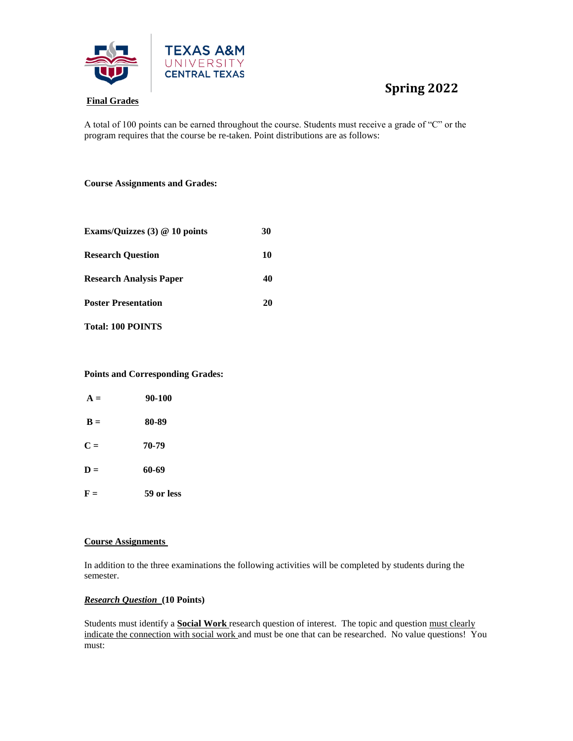

A total of 100 points can be earned throughout the course. Students must receive a grade of "C" or the program requires that the course be re-taken. Point distributions are as follows:

#### **Course Assignments and Grades:**

| Exams/Quizzes (3) @ 10 points | 30 |
|-------------------------------|----|
| <b>Research Ouestion</b>      | 10 |
| Research Analysis Paper       | 40 |
| <b>Poster Presentation</b>    | 20 |
|                               |    |

**Total: 100 POINTS**

#### **Points and Corresponding Grades:**

| $A =$          | 90-100     |
|----------------|------------|
| $\mathbf{B} =$ | 80-89      |
| $C =$          | 70-79      |
| $D =$          | 60-69      |
| $F =$          | 59 or less |

#### **Course Assignments**

In addition to the three examinations the following activities will be completed by students during the semester.

#### *Research Question* **(10 Points)**

Students must identify a **Social Work** research question of interest. The topic and question must clearly indicate the connection with social work and must be one that can be researched. No value questions! You must: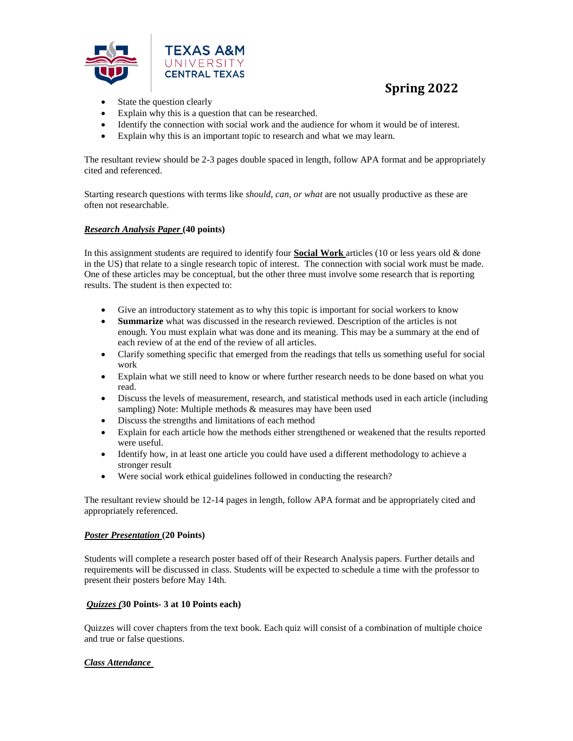

- State the question clearly
- Explain why this is a question that can be researched.
- Identify the connection with social work and the audience for whom it would be of interest.
- Explain why this is an important topic to research and what we may learn.

The resultant review should be 2-3 pages double spaced in length, follow APA format and be appropriately cited and referenced.

Starting research questions with terms like *should, can, or what* are not usually productive as these are often not researchable.

#### *Research Analysis Paper* **(40 points)**

In this assignment students are required to identify four **Social Work** articles (10 or less years old & done in the US) that relate to a single research topic of interest. The connection with social work must be made. One of these articles may be conceptual, but the other three must involve some research that is reporting results. The student is then expected to:

- Give an introductory statement as to why this topic is important for social workers to know
- **Summarize** what was discussed in the research reviewed. Description of the articles is not enough. You must explain what was done and its meaning. This may be a summary at the end of each review of at the end of the review of all articles.
- Clarify something specific that emerged from the readings that tells us something useful for social work
- Explain what we still need to know or where further research needs to be done based on what you read.
- Discuss the levels of measurement, research, and statistical methods used in each article (including sampling) Note: Multiple methods & measures may have been used
- Discuss the strengths and limitations of each method
- Explain for each article how the methods either strengthened or weakened that the results reported were useful.
- Identify how, in at least one article you could have used a different methodology to achieve a stronger result
- Were social work ethical guidelines followed in conducting the research?

The resultant review should be 12-14 pages in length, follow APA format and be appropriately cited and appropriately referenced.

#### *Poster Presentation* **(20 Points)**

Students will complete a research poster based off of their Research Analysis papers. Further details and requirements will be discussed in class. Students will be expected to schedule a time with the professor to present their posters before May 14th.

#### *Quizzes (***30 Points- 3 at 10 Points each)**

Quizzes will cover chapters from the text book. Each quiz will consist of a combination of multiple choice and true or false questions.

#### *Class Attendance*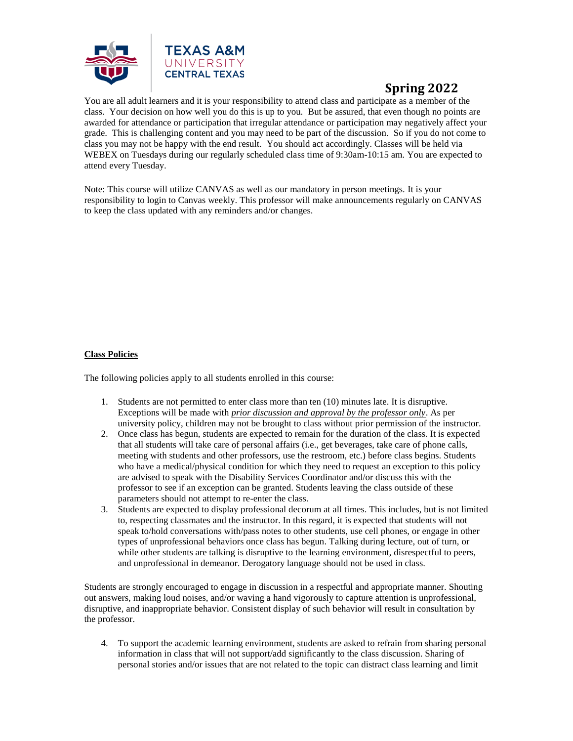

You are all adult learners and it is your responsibility to attend class and participate as a member of the class. Your decision on how well you do this is up to you. But be assured, that even though no points are awarded for attendance or participation that irregular attendance or participation may negatively affect your grade. This is challenging content and you may need to be part of the discussion. So if you do not come to class you may not be happy with the end result. You should act accordingly. Classes will be held via WEBEX on Tuesdays during our regularly scheduled class time of 9:30am-10:15 am. You are expected to attend every Tuesday.

Note: This course will utilize CANVAS as well as our mandatory in person meetings. It is your responsibility to login to Canvas weekly. This professor will make announcements regularly on CANVAS to keep the class updated with any reminders and/or changes.

#### **Class Policies**

The following policies apply to all students enrolled in this course:

- 1. Students are not permitted to enter class more than ten (10) minutes late. It is disruptive. Exceptions will be made with *prior discussion and approval by the professor only*. As per university policy, children may not be brought to class without prior permission of the instructor.
- 2. Once class has begun, students are expected to remain for the duration of the class. It is expected that all students will take care of personal affairs (i.e., get beverages, take care of phone calls, meeting with students and other professors, use the restroom, etc.) before class begins. Students who have a medical/physical condition for which they need to request an exception to this policy are advised to speak with the Disability Services Coordinator and/or discuss this with the professor to see if an exception can be granted. Students leaving the class outside of these parameters should not attempt to re-enter the class.
- 3. Students are expected to display professional decorum at all times. This includes, but is not limited to, respecting classmates and the instructor. In this regard, it is expected that students will not speak to/hold conversations with/pass notes to other students, use cell phones, or engage in other types of unprofessional behaviors once class has begun. Talking during lecture, out of turn, or while other students are talking is disruptive to the learning environment, disrespectful to peers, and unprofessional in demeanor. Derogatory language should not be used in class.

Students are strongly encouraged to engage in discussion in a respectful and appropriate manner. Shouting out answers, making loud noises, and/or waving a hand vigorously to capture attention is unprofessional, disruptive, and inappropriate behavior. Consistent display of such behavior will result in consultation by the professor.

4. To support the academic learning environment, students are asked to refrain from sharing personal information in class that will not support/add significantly to the class discussion. Sharing of personal stories and/or issues that are not related to the topic can distract class learning and limit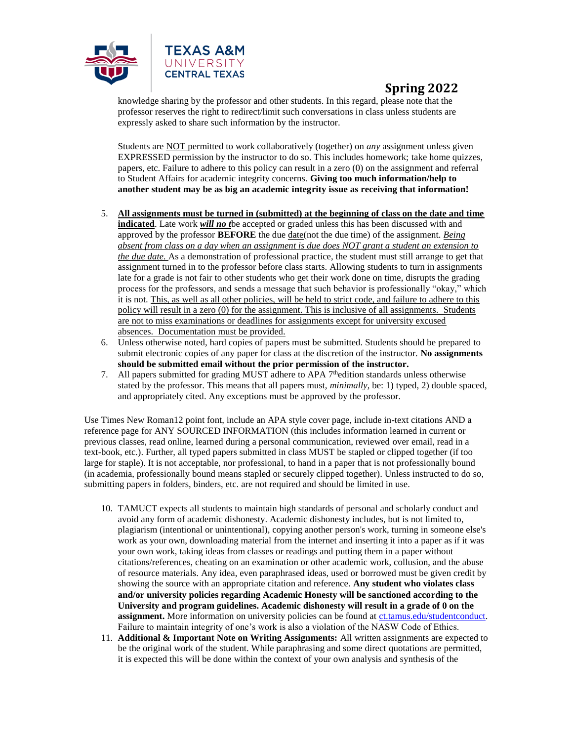

knowledge sharing by the professor and other students. In this regard, please note that the professor reserves the right to redirect/limit such conversations in class unless students are expressly asked to share such information by the instructor.

Students are NOT permitted to work collaboratively (together) on *any* assignment unless given EXPRESSED permission by the instructor to do so. This includes homework; take home quizzes, papers, etc. Failure to adhere to this policy can result in a zero (0) on the assignment and referral to Student Affairs for academic integrity concerns. **Giving too much information/help to another student may be as big an academic integrity issue as receiving that information!**

- 5. **All assignments must be turned in (submitted) at the beginning of class on the date and time indicated**. Late work *will no t*be accepted or graded unless this has been discussed with and approved by the professor **BEFORE** the due date(not the due time) of the assignment. *Being absent from class on a day when an assignment is due does NOT grant a student an extension to the due date.* As a demonstration of professional practice, the student must still arrange to get that assignment turned in to the professor before class starts. Allowing students to turn in assignments late for a grade is not fair to other students who get their work done on time, disrupts the grading process for the professors, and sends a message that such behavior is professionally "okay," which it is not. This, as well as all other policies, will be held to strict code, and failure to adhere to this policy will result in a zero (0) for the assignment. This is inclusive of all assignments. Students are not to miss examinations or deadlines for assignments except for university excused absences. Documentation must be provided.
- 6. Unless otherwise noted, hard copies of papers must be submitted. Students should be prepared to submit electronic copies of any paper for class at the discretion of the instructor. **No assignments should be submitted email without the prior permission of the instructor.**
- 7. All papers submitted for grading MUST adhere to APA 7thedition standards unless otherwise stated by the professor. This means that all papers must, *minimally*, be: 1) typed, 2) double spaced, and appropriately cited. Any exceptions must be approved by the professor.

Use Times New Roman12 point font, include an APA style cover page, include in-text citations AND a reference page for ANY SOURCED INFORMATION (this includes information learned in current or previous classes, read online, learned during a personal communication, reviewed over email, read in a text-book, etc.). Further, all typed papers submitted in class MUST be stapled or clipped together (if too large for staple). It is not acceptable, nor professional, to hand in a paper that is not professionally bound (in academia, professionally bound means stapled or securely clipped together). Unless instructed to do so, submitting papers in folders, binders, etc. are not required and should be limited in use.

- 10. TAMUCT expects all students to maintain high standards of personal and scholarly conduct and avoid any form of academic dishonesty. Academic dishonesty includes, but is not limited to, plagiarism (intentional or unintentional), copying another person's work, turning in someone else's work as your own, downloading material from the internet and inserting it into a paper as if it was your own work, taking ideas from classes or readings and putting them in a paper without citations/references, cheating on an examination or other academic work, collusion, and the abuse of resource materials. Any idea, even paraphrased ideas, used or borrowed must be given credit by showing the source with an appropriate citation and reference. **Any student who violates class and/or university policies regarding Academic Honesty will be sanctioned according to the University and program guidelines. Academic dishonesty will result in a grade of 0 on the assignment.** More information on university policies can be found at [ct.tamus.edu/studentconduct.](http://www.ct.tamus.edu/studentconduct) Failure to maintain integrity of one's work is also a violation of the NASW Code of Ethics.
- 11. **Additional & Important Note on Writing Assignments:** All written assignments are expected to be the original work of the student. While paraphrasing and some direct quotations are permitted, it is expected this will be done within the context of your own analysis and synthesis of the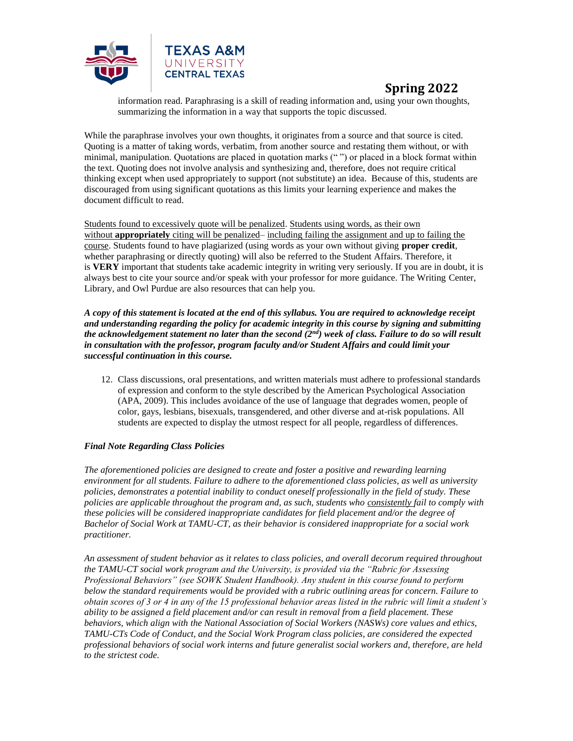

information read. Paraphrasing is a skill of reading information and, using your own thoughts, summarizing the information in a way that supports the topic discussed.

While the paraphrase involves your own thoughts, it originates from a source and that source is cited. Quoting is a matter of taking words, verbatim, from another source and restating them without, or with minimal, manipulation. Quotations are placed in quotation marks (" ") or placed in a block format within the text. Quoting does not involve analysis and synthesizing and, therefore, does not require critical thinking except when used appropriately to support (not substitute) an idea. Because of this, students are discouraged from using significant quotations as this limits your learning experience and makes the document difficult to read.

Students found to excessively quote will be penalized. Students using words, as their own without **appropriately** citing will be penalized– including failing the assignment and up to failing the course. Students found to have plagiarized (using words as your own without giving **proper credit**, whether paraphrasing or directly quoting) will also be referred to the Student Affairs. Therefore, it is **VERY** important that students take academic integrity in writing very seriously. If you are in doubt, it is always best to cite your source and/or speak with your professor for more guidance. The Writing Center, Library, and Owl Purdue are also resources that can help you.

*A copy of this statement is located at the end of this syllabus. You are required to acknowledge receipt and understanding regarding the policy for academic integrity in this course by signing and submitting the acknowledgement statement no later than the second (2nd) week of class. Failure to do so will result in consultation with the professor, program faculty and/or Student Affairs and could limit your successful continuation in this course.*

12. Class discussions, oral presentations, and written materials must adhere to professional standards of expression and conform to the style described by the American Psychological Association (APA, 2009). This includes avoidance of the use of language that degrades women, people of color, gays, lesbians, bisexuals, transgendered, and other diverse and at-risk populations. All students are expected to display the utmost respect for all people, regardless of differences.

#### *Final Note Regarding Class Policies*

*The aforementioned policies are designed to create and foster a positive and rewarding learning environment for all students. Failure to adhere to the aforementioned class policies, as well as university policies, demonstrates a potential inability to conduct oneself professionally in the field of study. These policies are applicable throughout the program and, as such, students who consistently fail to comply with these policies will be considered inappropriate candidates for field placement and/or the degree of Bachelor of Social Work at TAMU-CT, as their behavior is considered inappropriate for a social work practitioner.*

*An assessment of student behavior as it relates to class policies, and overall decorum required throughout the TAMU-CT social work program and the University, is provided via the "Rubric for Assessing Professional Behaviors" (see SOWK Student Handbook). Any student in this course found to perform below the standard requirements would be provided with a rubric outlining areas for concern. Failure to obtain scores of 3 or 4 in any of the 15 professional behavior areas listed in the rubric will limit a student's ability to be assigned a field placement and/or can result in removal from a field placement. These behaviors, which align with the National Association of Social Workers (NASWs) core values and ethics, TAMU-CTs Code of Conduct, and the Social Work Program class policies, are considered the expected professional behaviors of social work interns and future generalist social workers and, therefore, are held to the strictest code.*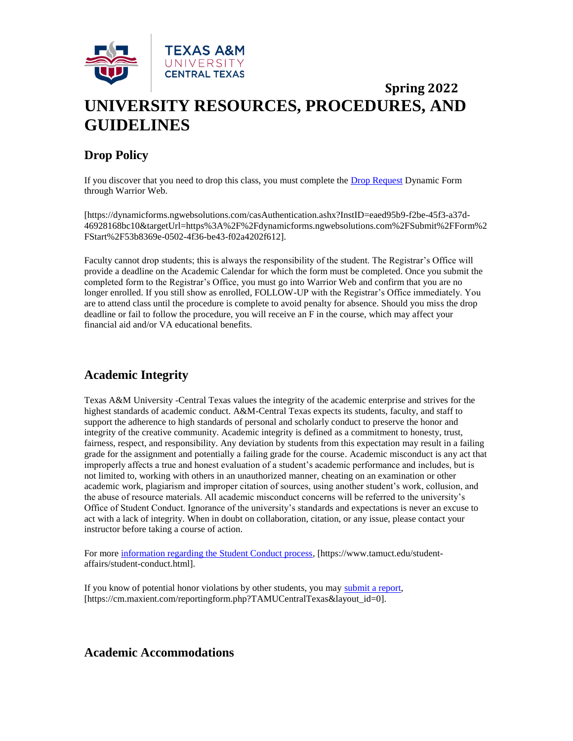

## **Spring 2022 UNIVERSITY RESOURCES, PROCEDURES, AND GUIDELINES**

### **Drop Policy**

If you discover that you need to drop this class, you must complete the [Drop Request](https://dynamicforms.ngwebsolutions.com/casAuthentication.ashx?InstID=eaed95b9-f2be-45f3-a37d-46928168bc10&targetUrl=https%3A%2F%2Fdynamicforms.ngwebsolutions.com%2FSubmit%2FForm%2FStart%2F53b8369e-0502-4f36-be43-f02a4202f612) Dynamic Form through Warrior Web.

[https://dynamicforms.ngwebsolutions.com/casAuthentication.ashx?InstID=eaed95b9-f2be-45f3-a37d-46928168bc10&targetUrl=https%3A%2F%2Fdynamicforms.ngwebsolutions.com%2FSubmit%2FForm%2 FStart%2F53b8369e-0502-4f36-be43-f02a4202f612].

Faculty cannot drop students; this is always the responsibility of the student. The Registrar's Office will provide a deadline on the Academic Calendar for which the form must be completed. Once you submit the completed form to the Registrar's Office, you must go into Warrior Web and confirm that you are no longer enrolled. If you still show as enrolled, FOLLOW-UP with the Registrar's Office immediately. You are to attend class until the procedure is complete to avoid penalty for absence. Should you miss the drop deadline or fail to follow the procedure, you will receive an F in the course, which may affect your financial aid and/or VA educational benefits.

### **Academic Integrity**

Texas A&M University -Central Texas values the integrity of the academic enterprise and strives for the highest standards of academic conduct. A&M-Central Texas expects its students, faculty, and staff to support the adherence to high standards of personal and scholarly conduct to preserve the honor and integrity of the creative community. Academic integrity is defined as a commitment to honesty, trust, fairness, respect, and responsibility. Any deviation by students from this expectation may result in a failing grade for the assignment and potentially a failing grade for the course. Academic misconduct is any act that improperly affects a true and honest evaluation of a student's academic performance and includes, but is not limited to, working with others in an unauthorized manner, cheating on an examination or other academic work, plagiarism and improper citation of sources, using another student's work, collusion, and the abuse of resource materials. All academic misconduct concerns will be referred to the university's Office of Student Conduct. Ignorance of the university's standards and expectations is never an excuse to act with a lack of integrity. When in doubt on collaboration, citation, or any issue, please contact your instructor before taking a course of action.

For more [information regarding the Student Conduct process,](https://www.tamuct.edu/student-affairs/student-conduct.html) [https://www.tamuct.edu/studentaffairs/student-conduct.html].

If you know of potential honor violations by other students, you may [submit a report,](https://cm.maxient.com/reportingform.php?TAMUCentralTexas&layout_id=0) [https://cm.maxient.com/reportingform.php?TAMUCentralTexas&layout\_id=0].

### **Academic Accommodations**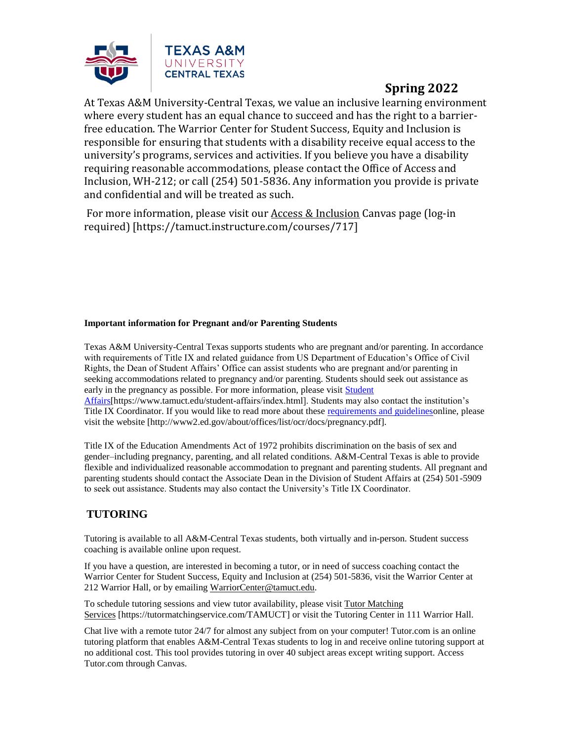

At Texas A&M University-Central Texas, we value an inclusive learning environment where every student has an equal chance to succeed and has the right to a barrierfree education. The Warrior Center for Student Success, Equity and Inclusion is responsible for ensuring that students with a disability receive equal access to the university's programs, services and activities. If you believe you have a disability requiring reasonable accommodations, please contact the Office of Access and Inclusion, WH-212; or call (254) 501-5836. Any information you provide is private and confidential and will be treated as such.

For more information, please visit ou[r Access & Inclusion](https://tamuct.instructure.com/courses/717) Canvas page (log-in required) [https://tamuct.instructure.com/courses/717]

#### **Important information for Pregnant and/or Parenting Students**

Texas A&M University-Central Texas supports students who are pregnant and/or parenting. In accordance with requirements of Title IX and related guidance from US Department of Education's Office of Civil Rights, the Dean of Student Affairs' Office can assist students who are pregnant and/or parenting in seeking accommodations related to pregnancy and/or parenting. Students should seek out assistance as early in the pregnancy as possible. For more information, please visit [Student](https://www.tamuct.edu/student-affairs/index.html)  [Affairs\[](https://www.tamuct.edu/student-affairs/index.html)https://www.tamuct.edu/student-affairs/index.html]. Students may also contact the institution's Title IX Coordinator. If you would like to read more about these [requirements and guidelineso](http://www2.ed.gov/about/offices/list/ocr/docs/pregnancy.pdf)nline, please

visit the website [http://www2.ed.gov/about/offices/list/ocr/docs/pregnancy.pdf].

Title IX of the Education Amendments Act of 1972 prohibits discrimination on the basis of sex and gender–including pregnancy, parenting, and all related conditions. A&M-Central Texas is able to provide flexible and individualized reasonable accommodation to pregnant and parenting students. All pregnant and parenting students should contact the Associate Dean in the Division of Student Affairs at (254) 501-5909 to seek out assistance. Students may also contact the University's Title IX Coordinator.

### **TUTORING**

Tutoring is available to all A&M-Central Texas students, both virtually and in-person. Student success coaching is available online upon request.

If you have a question, are interested in becoming a tutor, or in need of success coaching contact the Warrior Center for Student Success, Equity and Inclusion at (254) 501-5836, visit the Warrior Center at 212 Warrior Hall, or by emailing [WarriorCenter@tamuct.edu.](mailto:WarriorCenter@tamuct.edu)

To schedule tutoring sessions and view tutor availability, please visit Tutor [Matching](https://nam04.safelinks.protection.outlook.com/?url=http%3A%2F%2Fwww.tutormatchingservices.com%2FTAMUCT&data=04%7C01%7Clisa.bunkowski%40tamuct.edu%7C886784139069461670c308d9aa01f55e%7C9eed4e3000f744849ff193ad8005acec%7C0%7C0%7C637727747643427346%7CUnknown%7CTWFpbGZsb3d8eyJWIjoiMC4wLjAwMDAiLCJQIjoiV2luMzIiLCJBTiI6Ik1haWwiLCJXVCI6Mn0%3D%7C3000&sdata=D%2F8HN2bUT1lLPfs5qSqKYlwh8a7pZVy7isM2gppluQE%3D&reserved=0) [Services](https://nam04.safelinks.protection.outlook.com/?url=http%3A%2F%2Fwww.tutormatchingservices.com%2FTAMUCT&data=04%7C01%7Clisa.bunkowski%40tamuct.edu%7C886784139069461670c308d9aa01f55e%7C9eed4e3000f744849ff193ad8005acec%7C0%7C0%7C637727747643427346%7CUnknown%7CTWFpbGZsb3d8eyJWIjoiMC4wLjAwMDAiLCJQIjoiV2luMzIiLCJBTiI6Ik1haWwiLCJXVCI6Mn0%3D%7C3000&sdata=D%2F8HN2bUT1lLPfs5qSqKYlwh8a7pZVy7isM2gppluQE%3D&reserved=0) [https://tutormatchingservice.com/TAMUCT] or visit the Tutoring Center in 111 Warrior Hall.

Chat live with a remote tutor 24/7 for almost any subject from on your computer! Tutor.com is an online tutoring platform that enables A&M-Central Texas students to log in and receive online tutoring support at no additional cost. This tool provides tutoring in over 40 subject areas except writing support. Access Tutor.com through Canvas.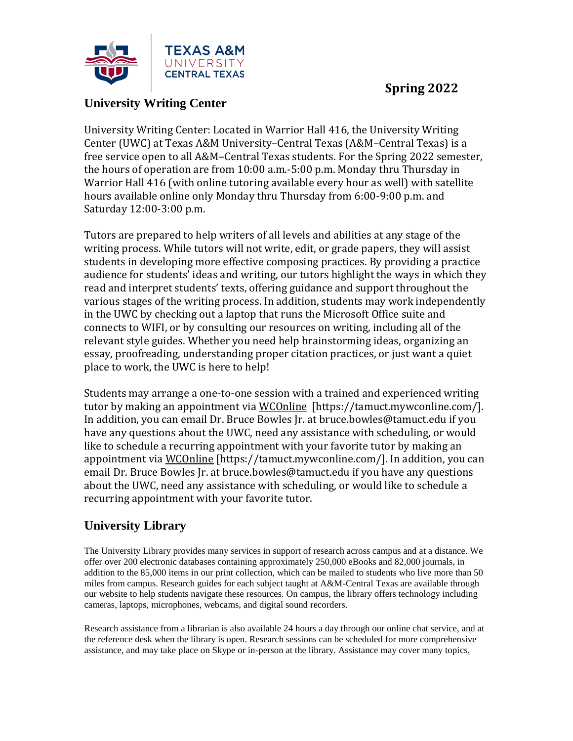

### **University Writing Center**

University Writing Center: Located in Warrior Hall 416, the University Writing Center (UWC) at Texas A&M University–Central Texas (A&M–Central Texas) is a free service open to all A&M–Central Texas students. For the Spring 2022 semester, the hours of operation are from 10:00 a.m.-5:00 p.m. Monday thru Thursday in Warrior Hall 416 (with online tutoring available every hour as well) with satellite hours available online only Monday thru Thursday from 6:00-9:00 p.m. and Saturday 12:00-3:00 p.m.

Tutors are prepared to help writers of all levels and abilities at any stage of the writing process. While tutors will not write, edit, or grade papers, they will assist students in developing more effective composing practices. By providing a practice audience for students' ideas and writing, our tutors highlight the ways in which they read and interpret students' texts, offering guidance and support throughout the various stages of the writing process. In addition, students may work independently in the UWC by checking out a laptop that runs the Microsoft Office suite and connects to WIFI, or by consulting our resources on writing, including all of the relevant style guides. Whether you need help brainstorming ideas, organizing an essay, proofreading, understanding proper citation practices, or just want a quiet place to work, the UWC is here to help!

Students may arrange a one-to-one session with a trained and experienced writing tutor by making an appointment vi[a WCOnline](https://tamuct.mywconline.com/) [https://tamuct.mywconline.com/]. In addition, you can email Dr. Bruce Bowles Jr. at bruce.bowles@tamuct.edu if you have any questions about the UWC, need any assistance with scheduling, or would like to schedule a recurring appointment with your favorite tutor by making an appointment via [WCOnline](https://tamuct.mywconline.com/) [https://tamuct.mywconline.com/]. In addition, you can email Dr. Bruce Bowles Jr. at bruce.bowles@tamuct.edu if you have any questions about the UWC, need any assistance with scheduling, or would like to schedule a recurring appointment with your favorite tutor.

### **University Library**

The University Library provides many services in support of research across campus and at a distance. We offer over 200 electronic databases containing approximately 250,000 eBooks and 82,000 journals, in addition to the 85,000 items in our print collection, which can be mailed to students who live more than 50 miles from campus. Research guides for each subject taught at A&M-Central Texas are available through our website to help students navigate these resources. On campus, the library offers technology including cameras, laptops, microphones, webcams, and digital sound recorders.

Research assistance from a librarian is also available 24 hours a day through our online chat service, and at the reference desk when the library is open. Research sessions can be scheduled for more comprehensive assistance, and may take place on Skype or in-person at the library. Assistance may cover many topics,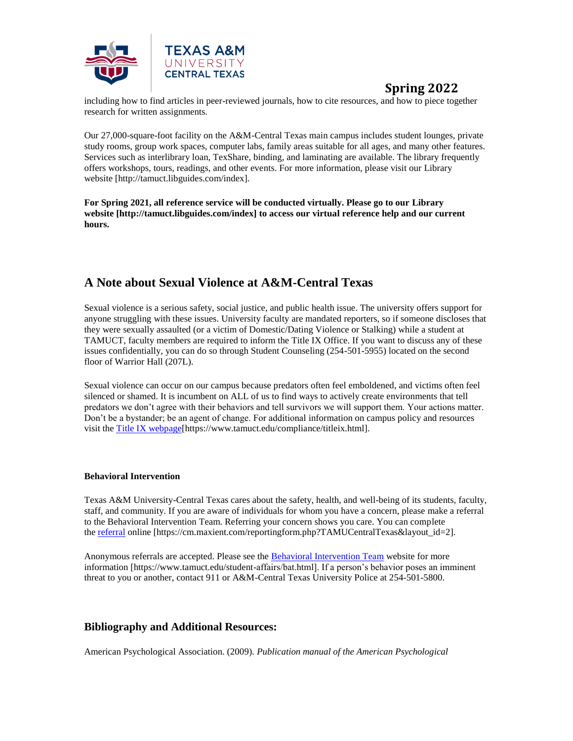

including how to find articles in peer-reviewed journals, how to cite resources, and how to piece together research for written assignments.

Our 27,000-square-foot facility on the A&M-Central Texas main campus includes student lounges, private study rooms, group work spaces, computer labs, family areas suitable for all ages, and many other features. Services such as interlibrary loan, TexShare, binding, and laminating are available. The library frequently offers workshops, tours, readings, and other events. For more information, please visit our Library website [http://tamuct.libguides.com/index].

**For Spring 2021, all reference service will be conducted virtually. Please go to our Library website [http://tamuct.libguides.com/index] to access our virtual reference help and our current hours.**

### **A Note about Sexual Violence at A&M-Central Texas**

Sexual violence is a serious safety, social justice, and public health issue. The university offers support for anyone struggling with these issues. University faculty are mandated reporters, so if someone discloses that they were sexually assaulted (or a victim of Domestic/Dating Violence or Stalking) while a student at TAMUCT, faculty members are required to inform the Title IX Office. If you want to discuss any of these issues confidentially, you can do so through Student Counseling (254-501-5955) located on the second floor of Warrior Hall (207L).

Sexual violence can occur on our campus because predators often feel emboldened, and victims often feel silenced or shamed. It is incumbent on ALL of us to find ways to actively create environments that tell predators we don't agree with their behaviors and tell survivors we will support them. Your actions matter. Don't be a bystander; be an agent of change. For additional information on campus policy and resources visit the [Title IX webpage\[](https://www.tamuct.edu/compliance/titleix.html)https://www.tamuct.edu/compliance/titleix.html].

#### **Behavioral Intervention**

Texas A&M University-Central Texas cares about the safety, health, and well-being of its students, faculty, staff, and community. If you are aware of individuals for whom you have a concern, please make a referral to the Behavioral Intervention Team. Referring your concern shows you care. You can complete the [referral](https://cm.maxient.com/reportingform.php?TAMUCentralTexas&layout_id=2) online [https://cm.maxient.com/reportingform.php?TAMUCentralTexas&layout\_id=2].

Anonymous referrals are accepted. Please see the [Behavioral Intervention Team](https://www.tamuct.edu/student-affairs/bat.html) website for more information [https://www.tamuct.edu/student-affairs/bat.html]. If a person's behavior poses an imminent threat to you or another, contact 911 or A&M-Central Texas University Police at 254-501-5800.

### **Bibliography and Additional Resources:**

American Psychological Association. (2009). *Publication manual of the American Psychological*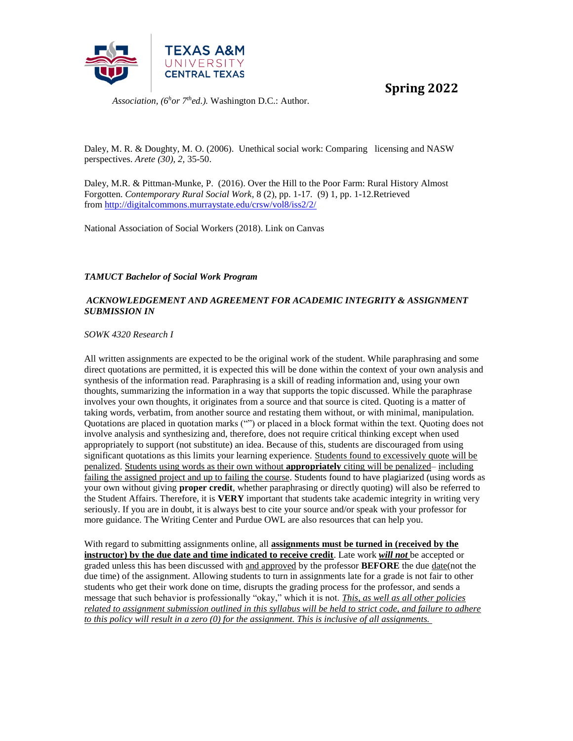

*Association, (6<sup>h</sup>or 7thed.).* Washington D.C.: Author.

Daley, M. R. & Doughty, M. O. (2006). Unethical social work: Comparing licensing and NASW perspectives. *Arete (30), 2,* 35-50.

Daley, M.R. & Pittman-Munke, P. (2016). Over the Hill to the Poor Farm: Rural History Almost Forgotten. *Contemporary Rural Social Work*, 8 (2), pp. 1-17*.* (9) 1, pp. 1-12.Retrieved from <http://digitalcommons.murraystate.edu/crsw/vol8/iss2/2/>

National Association of Social Workers (2018). Link on Canvas

*TAMUCT Bachelor of Social Work Program*

#### *ACKNOWLEDGEMENT AND AGREEMENT FOR ACADEMIC INTEGRITY & ASSIGNMENT SUBMISSION IN*

*SOWK 4320 Research I*

All written assignments are expected to be the original work of the student. While paraphrasing and some direct quotations are permitted, it is expected this will be done within the context of your own analysis and synthesis of the information read. Paraphrasing is a skill of reading information and, using your own thoughts, summarizing the information in a way that supports the topic discussed. While the paraphrase involves your own thoughts, it originates from a source and that source is cited. Quoting is a matter of taking words, verbatim, from another source and restating them without, or with minimal, manipulation. Quotations are placed in quotation marks ("") or placed in a block format within the text. Quoting does not involve analysis and synthesizing and, therefore, does not require critical thinking except when used appropriately to support (not substitute) an idea. Because of this, students are discouraged from using significant quotations as this limits your learning experience. Students found to excessively quote will be penalized. Students using words as their own without **appropriately** citing will be penalized– including failing the assigned project and up to failing the course. Students found to have plagiarized (using words as your own without giving **proper credit**, whether paraphrasing or directly quoting) will also be referred to the Student Affairs. Therefore, it is **VERY** important that students take academic integrity in writing very seriously. If you are in doubt, it is always best to cite your source and/or speak with your professor for more guidance. The Writing Center and Purdue OWL are also resources that can help you.

With regard to submitting assignments online, all **assignments must be turned in (received by the instructor) by the due date and time indicated to receive credit**. Late work *will not* be accepted or graded unless this has been discussed with and approved by the professor **BEFORE** the due date(not the due time) of the assignment. Allowing students to turn in assignments late for a grade is not fair to other students who get their work done on time, disrupts the grading process for the professor, and sends a message that such behavior is professionally "okay," which it is not. *This, as well as all other policies related to assignment submission outlined in this syllabus will be held to strict code, and failure to adhere to this policy will result in a zero (0) for the assignment. This is inclusive of all assignments.*